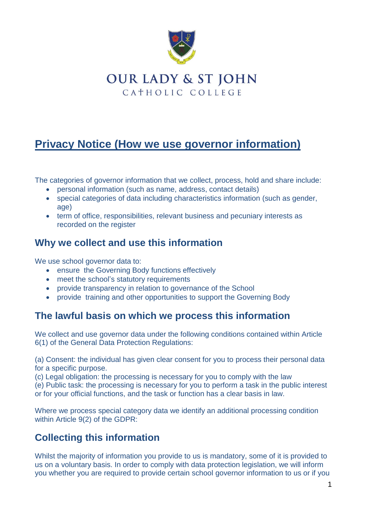

# **OUR LADY & ST JOHN** CATHOLIC COLLEGE

# **Privacy Notice (How we use governor information)**

The categories of governor information that we collect, process, hold and share include:

- personal information (such as name, address, contact details)
- special categories of data including characteristics information (such as gender, age)
- term of office, responsibilities, relevant business and pecuniary interests as recorded on the register

### **Why we collect and use this information**

We use school governor data to:

- ensure the Governing Body functions effectively
- meet the school's statutory requirements
- provide transparency in relation to governance of the School
- provide training and other opportunities to support the Governing Body

#### **The lawful basis on which we process this information**

We collect and use governor data under the following conditions contained within Article 6(1) of the General Data Protection Regulations:

(a) Consent: the individual has given clear consent for you to process their personal data for a specific purpose.

(c) Legal obligation: the processing is necessary for you to comply with the law

(e) Public task: the processing is necessary for you to perform a task in the public interest or for your official functions, and the task or function has a clear basis in law.

Where we process special category data we identify an additional processing condition within Article 9(2) of the GDPR:

### **Collecting this information**

Whilst the majority of information you provide to us is mandatory, some of it is provided to us on a voluntary basis. In order to comply with data protection legislation, we will inform you whether you are required to provide certain school governor information to us or if you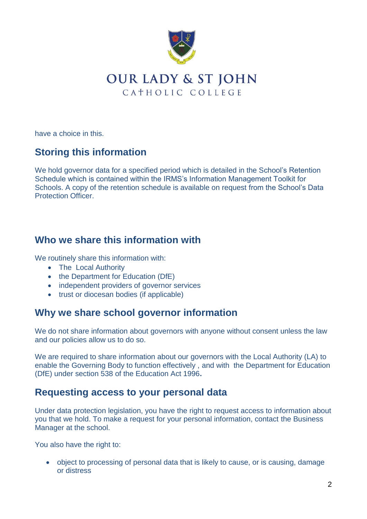

## **OUR LADY & ST JOHN** CATHOLIC COLLEGE

have a choice in this.

### **Storing this information**

We hold governor data for a specified period which is detailed in the School's Retention Schedule which is contained within the IRMS's Information Management Toolkit for Schools. A copy of the retention schedule is available on request from the School's Data Protection Officer.

### **Who we share this information with**

We routinely share this information with:

- The Local Authority
- the Department for Education (DfE)
- independent providers of governor services
- trust or diocesan bodies (if applicable)

#### **Why we share school governor information**

We do not share information about governors with anyone without consent unless the law and our policies allow us to do so.

We are required to share information about our governors with the Local Authority (LA) to enable the Governing Body to function effectively , and with the Department for Education (DfE) under section 538 of the Education Act 1996**.**

#### **Requesting access to your personal data**

Under data protection legislation, you have the right to request access to information about you that we hold. To make a request for your personal information, contact the Business Manager at the school.

You also have the right to:

• object to processing of personal data that is likely to cause, or is causing, damage or distress